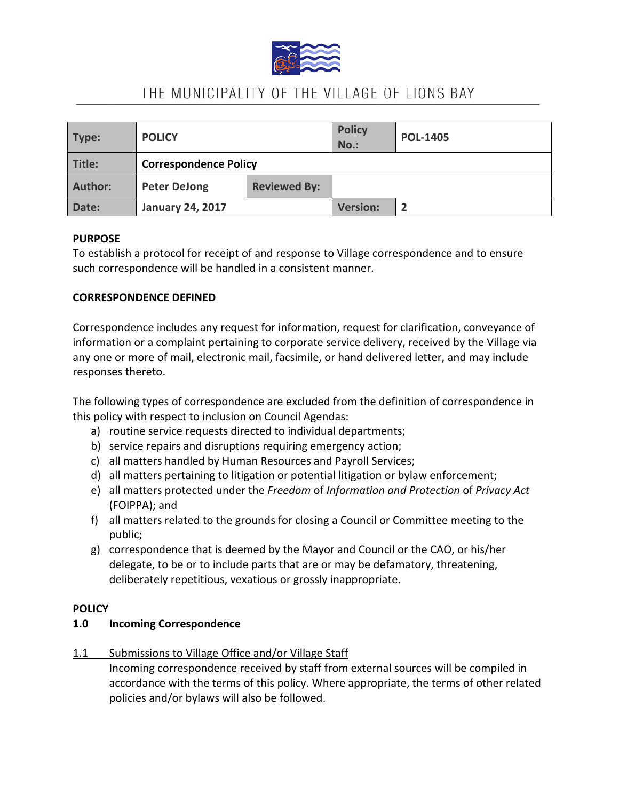

# THE MUNICIPALITY OF THE VILLAGE OF LIONS BAY

| Type:          | <b>POLICY</b>                |                     | <b>Policy</b><br><b>No.:</b> | <b>POL-1405</b> |
|----------------|------------------------------|---------------------|------------------------------|-----------------|
| Title:         | <b>Correspondence Policy</b> |                     |                              |                 |
| <b>Author:</b> | <b>Peter DeJong</b>          | <b>Reviewed By:</b> |                              |                 |
| Date:          | <b>January 24, 2017</b>      |                     | <b>Version:</b>              |                 |

#### **PURPOSE**

To establish a protocol for receipt of and response to Village correspondence and to ensure such correspondence will be handled in a consistent manner.

#### **CORRESPONDENCE DEFINED**

Correspondence includes any request for information, request for clarification, conveyance of information or a complaint pertaining to corporate service delivery, received by the Village via any one or more of mail, electronic mail, facsimile, or hand delivered letter, and may include responses thereto.

The following types of correspondence are excluded from the definition of correspondence in this policy with respect to inclusion on Council Agendas:

- a) routine service requests directed to individual departments;
- b) service repairs and disruptions requiring emergency action;
- c) all matters handled by Human Resources and Payroll Services;
- d) all matters pertaining to litigation or potential litigation or bylaw enforcement;
- e) all matters protected under the *Freedom* of *Information and Protection* of *Privacy Act*  (FOIPPA); and
- f) all matters related to the grounds for closing a Council or Committee meeting to the public;
- g) correspondence that is deemed by the Mayor and Council or the CAO, or his/her delegate, to be or to include parts that are or may be defamatory, threatening, deliberately repetitious, vexatious or grossly inappropriate.

#### **POLICY**

#### **1.0 Incoming Correspondence**

1.1 Submissions to Village Office and/or Village Staff

Incoming correspondence received by staff from external sources will be compiled in accordance with the terms of this policy. Where appropriate, the terms of other related policies and/or bylaws will also be followed.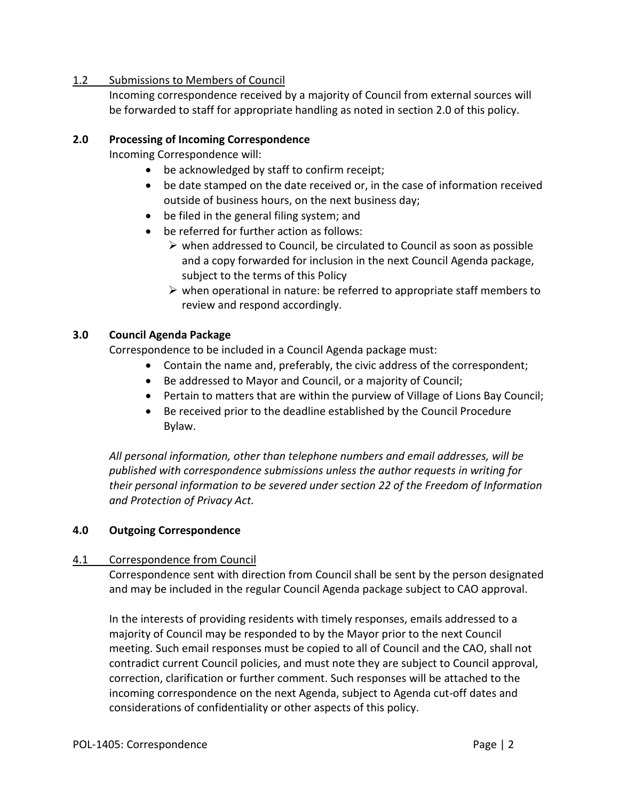## 1.2 Submissions to Members of Council

Incoming correspondence received by a majority of Council from external sources will be forwarded to staff for appropriate handling as noted in section 2.0 of this policy.

## **2.0 Processing of Incoming Correspondence**

Incoming Correspondence will:

- be acknowledged by staff to confirm receipt;
- be date stamped on the date received or, in the case of information received outside of business hours, on the next business day;
- be filed in the general filing system; and
- be referred for further action as follows:
	- $\triangleright$  when addressed to Council, be circulated to Council as soon as possible and a copy forwarded for inclusion in the next Council Agenda package, subject to the terms of this Policy
	- $\triangleright$  when operational in nature: be referred to appropriate staff members to review and respond accordingly.

### **3.0 Council Agenda Package**

Correspondence to be included in a Council Agenda package must:

- Contain the name and, preferably, the civic address of the correspondent;
- Be addressed to Mayor and Council, or a majority of Council;
- Pertain to matters that are within the purview of Village of Lions Bay Council;
- Be received prior to the deadline established by the Council Procedure Bylaw.

*All personal information, other than telephone numbers and email addresses, will be published with correspondence submissions unless the author requests in writing for their personal information to be severed under section 22 of the Freedom of Information and Protection of Privacy Act.* 

# **4.0 Outgoing Correspondence**

# 4.1 Correspondence from Council

Correspondence sent with direction from Council shall be sent by the person designated and may be included in the regular Council Agenda package subject to CAO approval.

In the interests of providing residents with timely responses, emails addressed to a majority of Council may be responded to by the Mayor prior to the next Council meeting. Such email responses must be copied to all of Council and the CAO, shall not contradict current Council policies, and must note they are subject to Council approval, correction, clarification or further comment. Such responses will be attached to the incoming correspondence on the next Agenda, subject to Agenda cut-off dates and considerations of confidentiality or other aspects of this policy.